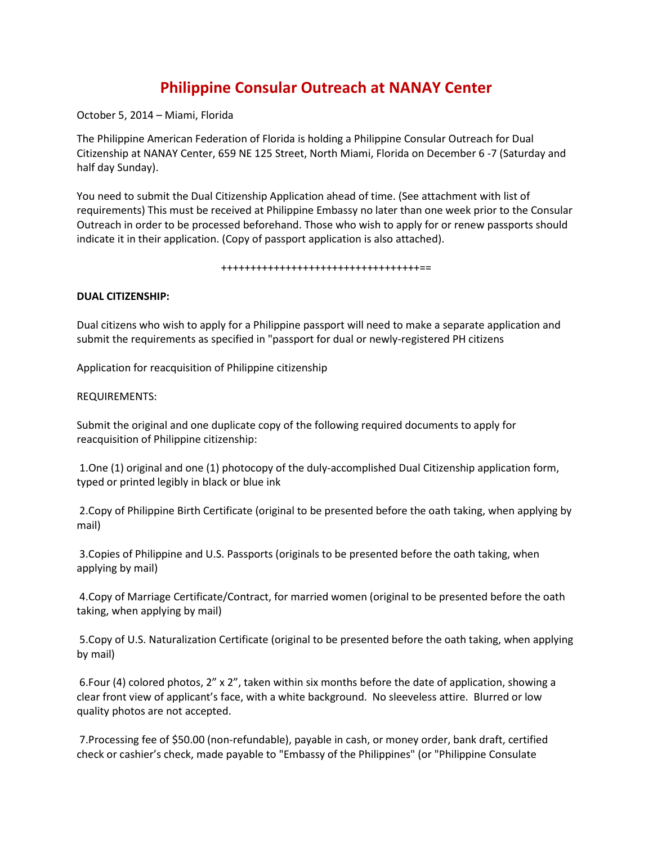# **Philippine Consular Outreach at NANAY Center**

October 5, 2014 – Miami, Florida

The Philippine American Federation of Florida is holding a Philippine Consular Outreach for Dual Citizenship at NANAY Center, 659 NE 125 Street, North Miami, Florida on December 6 -7 (Saturday and half day Sunday).

You need to submit the Dual Citizenship Application ahead of time. (See attachment with list of requirements) This must be received at Philippine Embassy no later than one week prior to the Consular Outreach in order to be processed beforehand. Those who wish to apply for or renew passports should indicate it in their application. (Copy of passport application is also attached).

#### ++++++++++++++++++++++++++++++++++==

## **DUAL CITIZENSHIP:**

Dual citizens who wish to apply for a Philippine passport will need to make a separate application and submit the requirements as specified in "passport for dual or newly-registered PH citizens

Application for reacquisition of Philippine citizenship

## REQUIREMENTS:

Submit the original and one duplicate copy of the following required documents to apply for reacquisition of Philippine citizenship:

1.One (1) original and one (1) photocopy of the duly-accomplished Dual Citizenship application form, typed or printed legibly in black or blue ink

2.Copy of Philippine Birth Certificate (original to be presented before the oath taking, when applying by mail)

3.Copies of Philippine and U.S. Passports (originals to be presented before the oath taking, when applying by mail)

4.Copy of Marriage Certificate/Contract, for married women (original to be presented before the oath taking, when applying by mail)

5.Copy of U.S. Naturalization Certificate (original to be presented before the oath taking, when applying by mail)

6.Four (4) colored photos, 2" x 2", taken within six months before the date of application, showing a clear front view of applicant's face, with a white background. No sleeveless attire. Blurred or low quality photos are not accepted.

7.Processing fee of \$50.00 (non-refundable), payable in cash, or money order, bank draft, certified check or cashier's check, made payable to "Embassy of the Philippines" (or "Philippine Consulate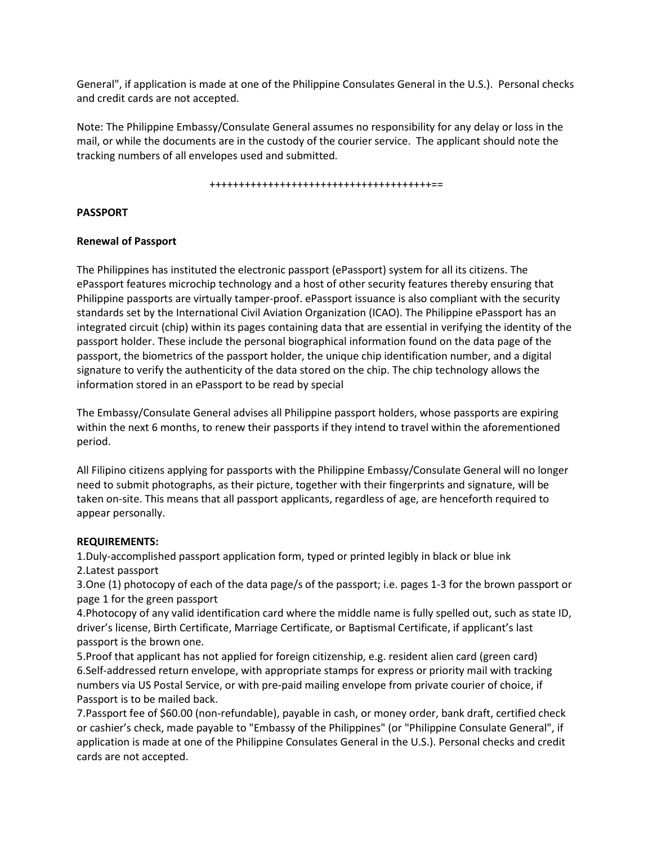General", if application is made at one of the Philippine Consulates General in the U.S.). Personal checks and credit cards are not accepted.

Note: The Philippine Embassy/Consulate General assumes no responsibility for any delay or loss in the mail, or while the documents are in the custody of the courier service. The applicant should note the tracking numbers of all envelopes used and submitted.

#### ++++++++++++++++++++++++++++++++++++++==

## **PASSPORT**

## **Renewal of Passport**

The Philippines has instituted the electronic passport (ePassport) system for all its citizens. The ePassport features microchip technology and a host of other security features thereby ensuring that Philippine passports are virtually tamper-proof. ePassport issuance is also compliant with the security standards set by the International Civil Aviation Organization (ICAO). The Philippine ePassport has an integrated circuit (chip) within its pages containing data that are essential in verifying the identity of the passport holder. These include the personal biographical information found on the data page of the passport, the biometrics of the passport holder, the unique chip identification number, and a digital signature to verify the authenticity of the data stored on the chip. The chip technology allows the information stored in an ePassport to be read by special

The Embassy/Consulate General advises all Philippine passport holders, whose passports are expiring within the next 6 months, to renew their passports if they intend to travel within the aforementioned period.

All Filipino citizens applying for passports with the Philippine Embassy/Consulate General will no longer need to submit photographs, as their picture, together with their fingerprints and signature, will be taken on-site. This means that all passport applicants, regardless of age, are henceforth required to appear personally.

### **REQUIREMENTS:**

1.Duly-accomplished passport application form, typed or printed legibly in black or blue ink 2.Latest passport

3.One (1) photocopy of each of the data page/s of the passport; i.e. pages 1-3 for the brown passport or page 1 for the green passport

4.Photocopy of any valid identification card where the middle name is fully spelled out, such as state ID, driver's license, Birth Certificate, Marriage Certificate, or Baptismal Certificate, if applicant's last passport is the brown one.

5.Proof that applicant has not applied for foreign citizenship, e.g. resident alien card (green card) 6.Self-addressed return envelope, with appropriate stamps for express or priority mail with tracking numbers via US Postal Service, or with pre-paid mailing envelope from private courier of choice, if Passport is to be mailed back.

7.Passport fee of \$60.00 (non-refundable), payable in cash, or money order, bank draft, certified check or cashier's check, made payable to "Embassy of the Philippines" (or "Philippine Consulate General", if application is made at one of the Philippine Consulates General in the U.S.). Personal checks and credit cards are not accepted.